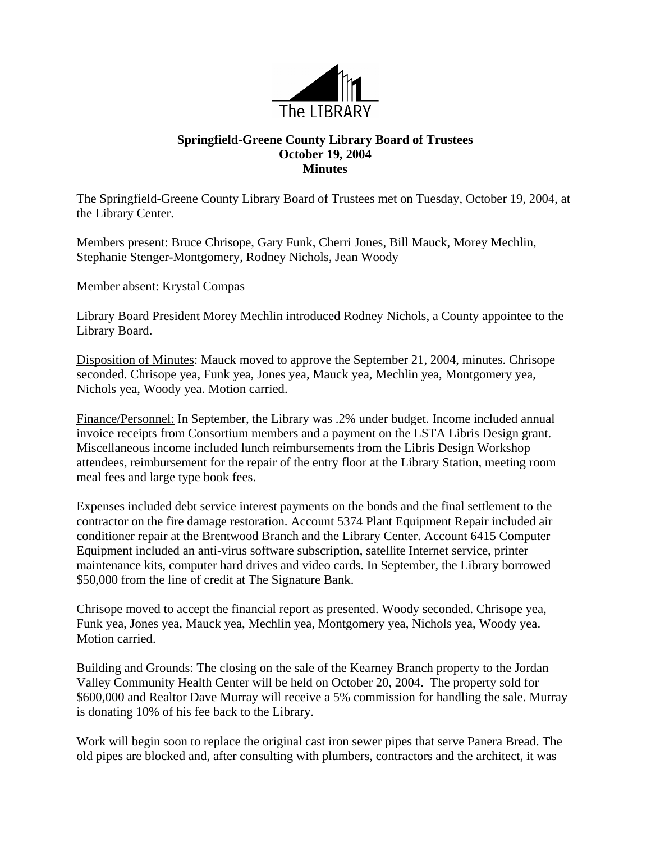

## **Springfield-Greene County Library Board of Trustees October 19, 2004 Minutes**

The Springfield-Greene County Library Board of Trustees met on Tuesday, October 19, 2004, at the Library Center.

Members present: Bruce Chrisope, Gary Funk, Cherri Jones, Bill Mauck, Morey Mechlin, Stephanie Stenger-Montgomery, Rodney Nichols, Jean Woody

Member absent: Krystal Compas

Library Board President Morey Mechlin introduced Rodney Nichols, a County appointee to the Library Board.

Disposition of Minutes: Mauck moved to approve the September 21, 2004, minutes. Chrisope seconded. Chrisope yea, Funk yea, Jones yea, Mauck yea, Mechlin yea, Montgomery yea, Nichols yea, Woody yea. Motion carried.

Finance/Personnel: In September, the Library was .2% under budget. Income included annual invoice receipts from Consortium members and a payment on the LSTA Libris Design grant. Miscellaneous income included lunch reimbursements from the Libris Design Workshop attendees, reimbursement for the repair of the entry floor at the Library Station, meeting room meal fees and large type book fees.

Expenses included debt service interest payments on the bonds and the final settlement to the contractor on the fire damage restoration. Account 5374 Plant Equipment Repair included air conditioner repair at the Brentwood Branch and the Library Center. Account 6415 Computer Equipment included an anti-virus software subscription, satellite Internet service, printer maintenance kits, computer hard drives and video cards. In September, the Library borrowed \$50,000 from the line of credit at The Signature Bank.

Chrisope moved to accept the financial report as presented. Woody seconded. Chrisope yea, Funk yea, Jones yea, Mauck yea, Mechlin yea, Montgomery yea, Nichols yea, Woody yea. Motion carried.

Building and Grounds: The closing on the sale of the Kearney Branch property to the Jordan Valley Community Health Center will be held on October 20, 2004. The property sold for \$600,000 and Realtor Dave Murray will receive a 5% commission for handling the sale. Murray is donating 10% of his fee back to the Library.

Work will begin soon to replace the original cast iron sewer pipes that serve Panera Bread. The old pipes are blocked and, after consulting with plumbers, contractors and the architect, it was